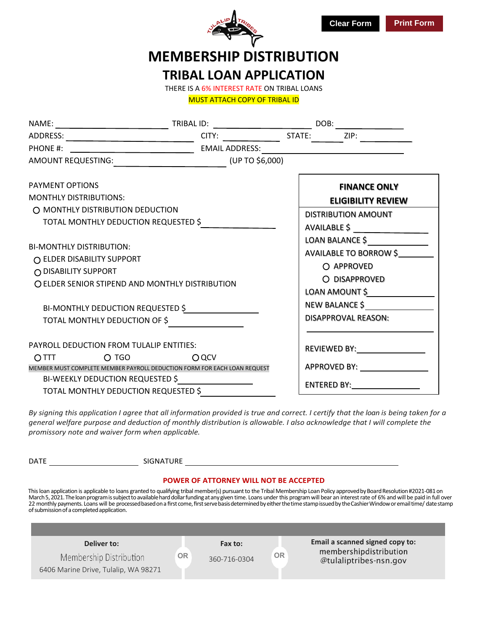

# **MEMBERSHIP DISTRIBUTION TRIBAL LOAN APPLICATION**

THERE IS A 6% INTEREST RATE ON TRIBAL LOANS

MUST ATTACH COPY OF TRIBAL ID

|                                                         |                                                                               | AMOUNT REQUESTING: ______________________________(UP TO \$6,000)         |                                                                                                                                          |                                                                                                                                                                                                                                |  |
|---------------------------------------------------------|-------------------------------------------------------------------------------|--------------------------------------------------------------------------|------------------------------------------------------------------------------------------------------------------------------------------|--------------------------------------------------------------------------------------------------------------------------------------------------------------------------------------------------------------------------------|--|
| <b>PAYMENT OPTIONS</b>                                  |                                                                               |                                                                          |                                                                                                                                          | <b>FINANCE ONLY</b>                                                                                                                                                                                                            |  |
| <b>MONTHLY DISTRIBUTIONS:</b>                           |                                                                               |                                                                          | <b>ELIGIBILITY REVIEW</b>                                                                                                                |                                                                                                                                                                                                                                |  |
|                                                         | O MONTHLY DISTRIBUTION DEDUCTION<br>TOTAL MONTHLY DEDUCTION REQUESTED \$      |                                                                          | <b>DISTRIBUTION AMOUNT</b><br>AVAILABLE \$<br>LOAN BALANCE \$<br>AVAILABLE TO BORROW \$<br>O APPROVED<br>O DISAPPROVED<br>LOAN AMOUNT \$ |                                                                                                                                                                                                                                |  |
| <b>BI-MONTHLY DISTRIBUTION:</b><br>O DISABILITY SUPPORT | ○ ELDER DISABILITY SUPPORT<br>O ELDER SENIOR STIPEND AND MONTHLY DISTRIBUTION |                                                                          |                                                                                                                                          |                                                                                                                                                                                                                                |  |
|                                                         | BI-MONTHLY DEDUCTION REQUESTED \$                                             |                                                                          | <b>NEW BALANCE \$</b>                                                                                                                    |                                                                                                                                                                                                                                |  |
|                                                         | TOTAL MONTHLY DEDUCTION OF \$                                                 |                                                                          | <b>DISAPPROVAL REASON:</b>                                                                                                               |                                                                                                                                                                                                                                |  |
|                                                         | PAYROLL DEDUCTION FROM TULALIP ENTITIES:                                      |                                                                          | REVIEWED BY: New York Products and American Section 1997.                                                                                |                                                                                                                                                                                                                                |  |
| $\overline{O}$ TIT                                      | $O$ TGO and $O$ TGO                                                           | OQCV                                                                     |                                                                                                                                          |                                                                                                                                                                                                                                |  |
|                                                         |                                                                               | MEMBER MUST COMPLETE MEMBER PAYROLL DEDUCTION FORM FOR EACH LOAN REQUEST |                                                                                                                                          | APPROVED BY: New York Contract Contract Contract Contract Contract Contract Contract Contract Contract Contract Contract Contract Contract Contract Contract Contract Contract Contract Contract Contract Contract Contract Co |  |
|                                                         | BI-WEEKLY DEDUCTION REQUESTED \$                                              |                                                                          | ENTERED BY: __________________                                                                                                           |                                                                                                                                                                                                                                |  |
|                                                         | TOTAL MONTHLY DEDUCTION REQUESTED \$                                          |                                                                          |                                                                                                                                          |                                                                                                                                                                                                                                |  |

*By signing this application I agree that all information provided is true and correct. I certify that the loan is being taken for a general welfare purpose and deduction of monthly distribution is allowable. I also acknowledge that I will complete the promissory note and waiver form when applicable.*

| <b>DATE</b><br>SIGNATURE                                                                                                                                                                                                                                                                                                                                                                                                                                                                                                                                                                                                                                |                                                     |                         |           |                                                                                     |  |  |  |  |  |
|---------------------------------------------------------------------------------------------------------------------------------------------------------------------------------------------------------------------------------------------------------------------------------------------------------------------------------------------------------------------------------------------------------------------------------------------------------------------------------------------------------------------------------------------------------------------------------------------------------------------------------------------------------|-----------------------------------------------------|-------------------------|-----------|-------------------------------------------------------------------------------------|--|--|--|--|--|
| <b>POWER OF ATTORNEY WILL NOT BE ACCEPTED</b><br>This loan application is applicable to loans granted to qualifying tribal member(s) pursuant to the Tribal Membership Loan Policy approved by Board Resolution #2021-081 on<br>March 5, 2021. The loan program is subject to available hard dollar funding at any given time. Loans under this program will bear an interest rate of 6% and will be paid in full over<br>22 monthly payments. Loans will be processed based on a first come, first serve basis determined by either the time stamp issued by the Cashier Window or email time/ date stamp<br>of submission of a completed application. |                                                     |                         |           |                                                                                     |  |  |  |  |  |
| 6406 Marine Drive, Tulalip, WA 98271                                                                                                                                                                                                                                                                                                                                                                                                                                                                                                                                                                                                                    | Deliver to:<br><b>OR</b><br>Membership Distribution | Fax to:<br>360-716-0304 | <b>OR</b> | Email a scanned signed copy to:<br>membershipdistribution<br>@tulaliptribes-nsn.gov |  |  |  |  |  |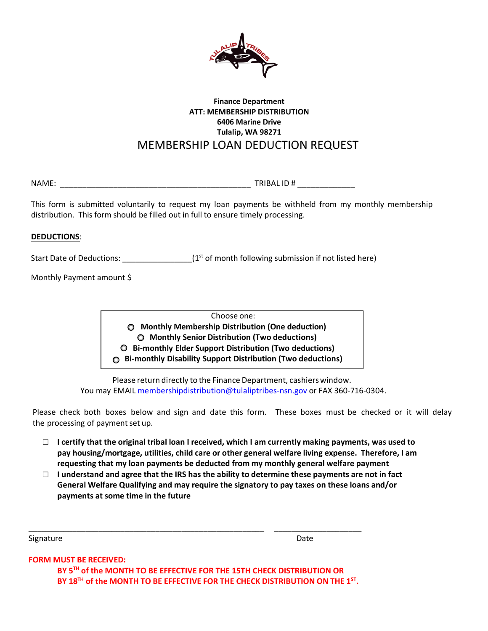

### **Finance Department ATT: MEMBERSHIP DISTRIBUTION 6406 Marine Drive Tulalip, WA 98271**  MEMBERSHIP LOAN DEDUCTION REQUEST

NAME: \_\_\_\_\_\_\_\_\_\_\_\_\_\_\_\_\_\_\_\_\_\_\_\_\_\_\_\_\_\_\_\_\_\_\_\_\_\_\_\_\_\_\_ TRIBAL ID # \_\_\_\_\_\_\_\_\_\_\_\_\_

This form is submitted voluntarily to request my loan payments be withheld from my monthly membership distribution. This form should be filled out in full to ensure timely processing.

#### **DEDUCTIONS**:

Start Date of Deductions:  $\frac{1}{\sqrt{1-\frac{1}{n}}}$  (1st of month following submission if not listed here)

Monthly Payment amount \$

Choose one: **Monthly Membership Distribution (One deduction) Monthly Senior Distribution (Two deductions) Bi-monthly Elder Support Distribution (Two deductions) Bi-monthly Disability Support Distribution (Two deductions)**

Please return directly to the Finance Department, cashiers window. You may EMAIL membershipdistribution@tulaliptribes-nsn.gov or FAX 360-716-0304.

Please check both boxes below and sign and date this form. These boxes must be checked or it will delay the processing of payment set up.

- □ **I certify that the original tribal loan I received, which I am currently making payments, was used to pay housing/mortgage, utilities, child care or other general welfare living expense. Therefore, I am requesting that my loan payments be deducted from my monthly general welfare payment**
- □ **I understand and agree that the IRS has the ability to determine these payments are not in fact General Welfare Qualifying and may require the signatory to pay taxes on these loans and/or payments at some time in the future**

Signature Date

**FORM MUST BE RECEIVED:** 

**BY 5TH of the MONTH TO BE EFFECTIVE FOR THE 15TH CHECK DISTRIBUTION OR BY 18TH of the MONTH TO BE EFFECTIVE FOR THE CHECK DISTRIBUTION ON THE 1ST.** 

\_\_\_\_\_\_\_\_\_\_\_\_\_\_\_\_\_\_\_\_\_\_\_\_\_\_\_\_\_\_\_\_\_\_\_\_\_\_\_\_\_\_\_\_\_\_\_\_\_\_\_\_\_\_ \_\_\_\_\_\_\_\_\_\_\_\_\_\_\_\_\_\_\_\_